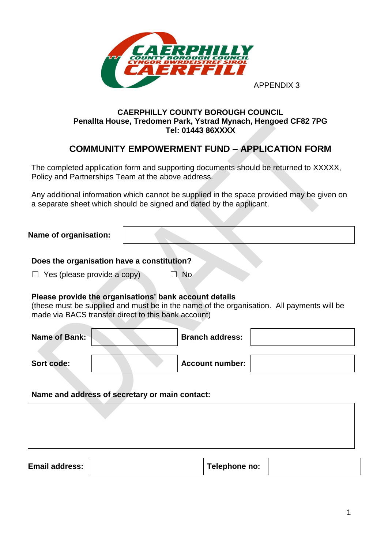

### **CAERPHILLY COUNTY BOROUGH COUNCIL Penallta House, Tredomen Park, Ystrad Mynach, Hengoed CF82 7PG Tel: 01443 86XXXX**

# **COMMUNITY EMPOWERMENT FUND – APPLICATION FORM**

The completed application form and supporting documents should be returned to XXXXX, Policy and Partnerships Team at the above address.

Any additional information which cannot be supplied in the space provided may be given on a separate sheet which should be signed and dated by the applicant.

### **Name of organisation:**

**Does the organisation have a constitution?**

 $\Box$  Yes (please provide a copy)  $\Box$  No

#### **Please provide the organisations' bank account details**

(these must be supplied and must be in the name of the organisation. All payments will be made via BACS transfer direct to this bank account)

| <b>Name of Bank:</b> | <b>Branch address:</b> |  |
|----------------------|------------------------|--|
| Sort code:           | <b>Account number:</b> |  |

**Name and address of secretary or main contact:**

**Email address: Telephone no:**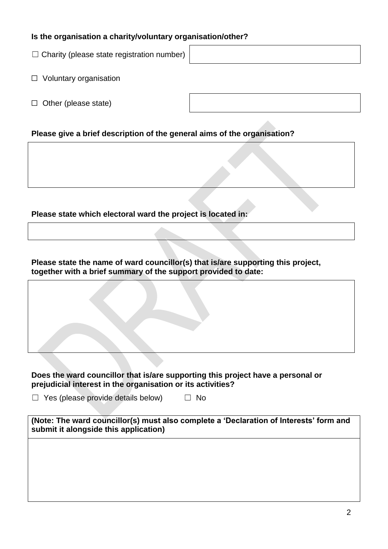### **Is the organisation a charity/voluntary organisation/other?**

 $\Box$  Charity (please state registration number)

- □ Voluntary organisation
- $\Box$  Other (please state)

## **Please give a brief description of the general aims of the organisation?**

**Please state which electoral ward the project is located in:**

**Please state the name of ward councillor(s) that is/are supporting this project, together with a brief summary of the support provided to date:**

#### **Does the ward councillor that is/are supporting this project have a personal or prejudicial interest in the organisation or its activities?**

 $\Box$  Yes (please provide details below)  $\Box$  No

| (Note: The ward councillor(s) must also complete a 'Declaration of Interests' form and |  |
|----------------------------------------------------------------------------------------|--|
| submit it alongside this application)                                                  |  |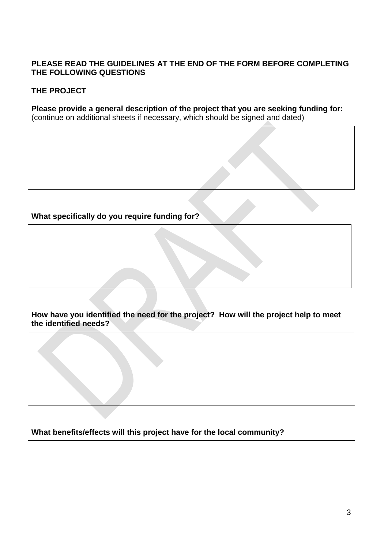### **PLEASE READ THE GUIDELINES AT THE END OF THE FORM BEFORE COMPLETING THE FOLLOWING QUESTIONS**

# **THE PROJECT**

**Please provide a general description of the project that you are seeking funding for:** (continue on additional sheets if necessary, which should be signed and dated)

# **What specifically do you require funding for?**

**How have you identified the need for the project? How will the project help to meet the identified needs?**

**What benefits/effects will this project have for the local community?**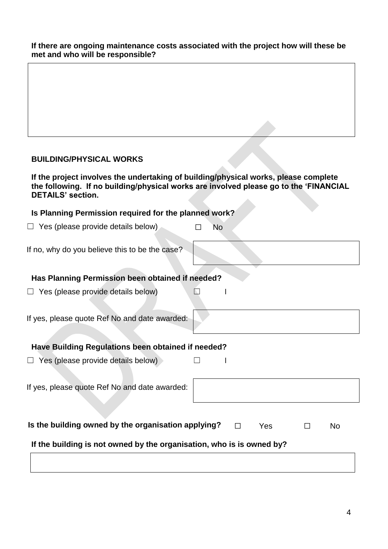**If there are ongoing maintenance costs associated with the project how will these be met and who will be responsible?**

### **BUILDING/PHYSICAL WORKS**

**If the project involves the undertaking of building/physical works, please complete the following. If no building/physical works are involved please go to the 'FINANCIAL DETAILS' section.**  $\mathcal{A}$ 

| Is Planning Permission required for the planned work?                 |    |        |     |   |    |
|-----------------------------------------------------------------------|----|--------|-----|---|----|
| $\Box$ Yes (please provide details below)                             | No |        |     |   |    |
| If no, why do you believe this to be the case?                        |    |        |     |   |    |
| Has Planning Permission been obtained if needed?                      |    |        |     |   |    |
| $\Box$ Yes (please provide details below)                             |    |        |     |   |    |
| If yes, please quote Ref No and date awarded:                         |    |        |     |   |    |
| Have Building Regulations been obtained if needed?                    |    |        |     |   |    |
| $\Box$ Yes (please provide details below)                             |    |        |     |   |    |
| If yes, please quote Ref No and date awarded:                         |    |        |     |   |    |
| Is the building owned by the organisation applying?                   |    | $\Box$ | Yes | П | No |
| If the building is not owned by the organisation, who is is owned by? |    |        |     |   |    |
|                                                                       |    |        |     |   |    |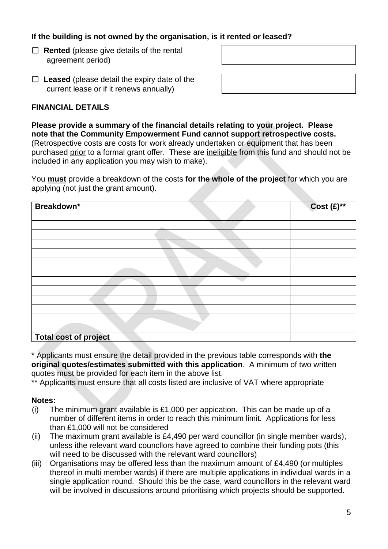## **If the building is not owned by the organisation, is it rented or leased?**

☐ **Rented** (please give details of the rental agreement period)

☐ **Leased** (please detail the expiry date of the current lease or if it renews annually)

## **FINANCIAL DETAILS**

**Please provide a summary of the financial details relating to your project. Please note that the Community Empowerment Fund cannot support retrospective costs.** (Retrospective costs are costs for work already undertaken or equipment that has been purchased prior to a formal grant offer. These are ineligible from this fund and should not be included in any application you may wish to make).

You **must** provide a breakdown of the costs **for the whole of the project** for which you are applying (not just the grant amount).

| Breakdown*                   | $Cost (E)$ ** |
|------------------------------|---------------|
|                              |               |
|                              |               |
|                              |               |
|                              |               |
|                              |               |
|                              |               |
|                              |               |
|                              |               |
|                              |               |
|                              |               |
|                              |               |
|                              |               |
|                              |               |
| <b>Total cost of project</b> |               |

\* Applicants must ensure the detail provided in the previous table corresponds with **the original quotes/estimates submitted with this application**. A minimum of two written quotes must be provided for each item in the above list.

\*\* Applicants must ensure that all costs listed are inclusive of VAT where appropriate

#### **Notes:**

- (i) The minimum grant available is £1,000 per appication. This can be made up of a number of different items in order to reach this minimum limit. Applications for less than £1,000 will not be considered
- (ii) The maximum grant available is £4,490 per ward councillor (in single member wards), unless ithe relevant ward councllors have agreed to combine their funding pots (this will need to be discussed with the relevant ward councillors)
- (iii) Organisations may be offered less than the maximum amount of £4,490 (or multiples thereof in multi member wards) if there are multiple applications in individual wards in a single application round. Should this be the case, ward councillors in the relevant ward will be involved in discussions around prioritising which projects should be supported.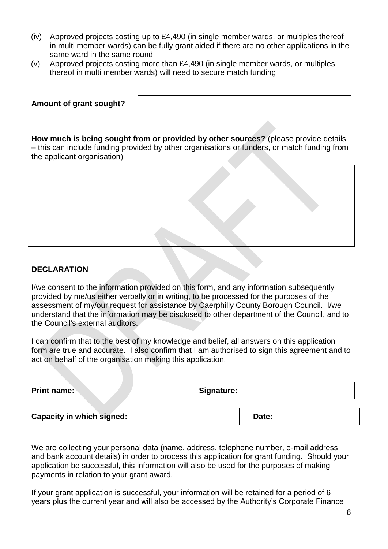- (iv) Approved projects costing up to £4,490 (in single member wards, or multiples thereof in multi member wards) can be fully grant aided if there are no other applications in the same ward in the same round
- (v) Approved projects costing more than £4,490 (in single member wards, or multiples thereof in multi member wards) will need to secure match funding

| Amount of grant sought? |  |
|-------------------------|--|
|                         |  |

**How much is being sought from or provided by other sources?** (please provide details – this can include funding provided by other organisations or funders, or match funding from the applicant organisation)



### **DECLARATION**

I/we consent to the information provided on this form, and any information subsequently provided by me/us either verbally or in writing, to be processed for the purposes of the assessment of my/our request for assistance by Caerphilly County Borough Council. I/we understand that the information may be disclosed to other department of the Council, and to the Council's external auditors.

I can confirm that to the best of my knowledge and belief, all answers on this application form are true and accurate. I also confirm that I am authorised to sign this agreement and to act on behalf of the organisation making this application.

| <b>Print name:</b>               | Signature: |       |  |
|----------------------------------|------------|-------|--|
| <b>Capacity in which signed:</b> |            | Date: |  |

We are collecting your personal data (name, address, telephone number, e-mail address and bank account details) in order to process this application for grant funding. Should your application be successful, this information will also be used for the purposes of making payments in relation to your grant award.

If your grant application is successful, your information will be retained for a period of 6 years plus the current year and will also be accessed by the Authority's Corporate Finance